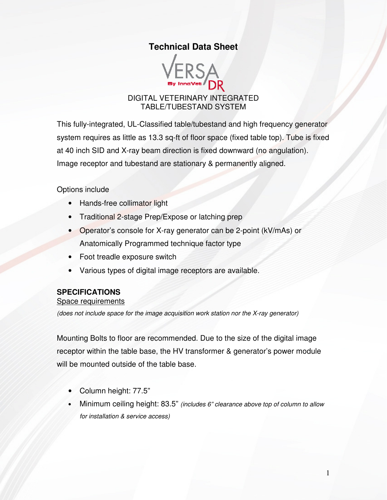# **Technical Data Sheet**



### DIGITAL VETERINARY INTEGRATED TABLE/TUBESTAND SYSTEM

This fully-integrated, UL-Classified table/tubestand and high frequency generator system requires as little as 13.3 sq-ft of floor space (fixed table top). Tube is fixed at 40 inch SID and X-ray beam direction is fixed downward (no angulation). Image receptor and tubestand are stationary & permanently aligned.

Options include

- Hands-free collimator light
- Traditional 2-stage Prep/Expose or latching prep
- Operator's console for X-ray generator can be 2-point (kV/mAs) or Anatomically Programmed technique factor type
- Foot treadle exposure switch
- Various types of digital image receptors are available.

### **SPECIFICATIONS**

#### Space requirements

(does not include space for the image acquisition work station nor the X-ray generator)

Mounting Bolts to floor are recommended. Due to the size of the digital image receptor within the table base, the HV transformer & generator's power module will be mounted outside of the table base.

- Column height: 77.5"
- Minimum ceiling height: 83.5" (includes 6" clearance above top of column to allow for installation & service access)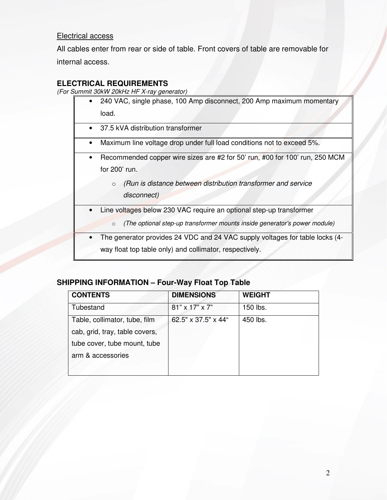## Electrical access

All cables enter from rear or side of table. Front covers of table are removable for internal access.

## **ELECTRICAL REQUIREMENTS**

(For Summit 30kW 20kHz HF X-ray generator)

| $\bullet$ | 240 VAC, single phase, 100 Amp disconnect, 200 Amp maximum momentary                 |
|-----------|--------------------------------------------------------------------------------------|
|           | load.                                                                                |
| $\bullet$ | 37.5 kVA distribution transformer                                                    |
| $\bullet$ | Maximum line voltage drop under full load conditions not to exceed 5%.               |
| $\bullet$ | Recommended copper wire sizes are #2 for 50' run, #00 for 100' run, 250 MCM          |
|           | for 200' run.                                                                        |
|           | (Run is distance between distribution transformer and service<br>$\circ$             |
|           | disconnect)                                                                          |
| $\bullet$ | Line voltages below 230 VAC require an optional step-up transformer                  |
|           | (The optional step-up transformer mounts inside generator's power module)<br>$\circ$ |
| $\bullet$ | The generator provides 24 VDC and 24 VAC supply voltages for table locks (4-         |
|           | way float top table only) and collimator, respectively.                              |

# **SHIPPING INFORMATION – Four-Way Float Top Table**

| <b>CONTENTS</b>                | <b>DIMENSIONS</b>               | <b>WEIGHT</b> |  |
|--------------------------------|---------------------------------|---------------|--|
| Tubestand                      | 81" x 17" x 7"                  | 150 lbs.      |  |
| Table, collimator, tube, film  | $62.5" \times 37.5" \times 44"$ | 450 lbs.      |  |
| cab, grid, tray, table covers, |                                 |               |  |
| tube cover, tube mount, tube   |                                 |               |  |
| arm & accessories              |                                 |               |  |
|                                |                                 |               |  |
|                                |                                 |               |  |